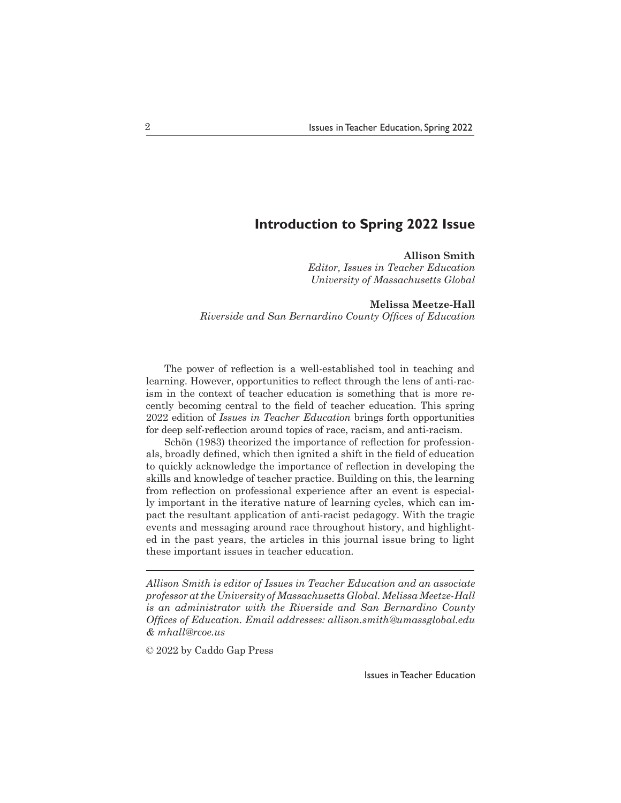## **Introduction to Spring 2022 Issue**

## **Allison Smith**

*Editor, Issues in Teacher Education University of Massachusetts Global*

**Melissa Meetze-Hall**

*Riverside and San Bernardino County Offices of Education*

 The power of reflection is a well-established tool in teaching and learning. However, opportunities to reflect through the lens of anti-racism in the context of teacher education is something that is more recently becoming central to the field of teacher education. This spring 2022 edition of *Issues in Teacher Education* brings forth opportunities for deep self-reflection around topics of race, racism, and anti-racism.

 Schön (1983) theorized the importance of reflection for professionals, broadly defined, which then ignited a shift in the field of education to quickly acknowledge the importance of reflection in developing the skills and knowledge of teacher practice. Building on this, the learning from reflection on professional experience after an event is especially important in the iterative nature of learning cycles, which can impact the resultant application of anti-racist pedagogy. With the tragic events and messaging around race throughout history, and highlighted in the past years, the articles in this journal issue bring to light these important issues in teacher education.

*Allison Smith is editor of Issues in Teacher Education and an associate professor at the University of Massachusetts Global. Melissa Meetze-Hall is an administrator with the Riverside and San Bernardino County Offices of Education. Email addresses: allison.smith@umassglobal.edu & mhall@rcoe.us*

© 2022 by Caddo Gap Press

Issues in Teacher Education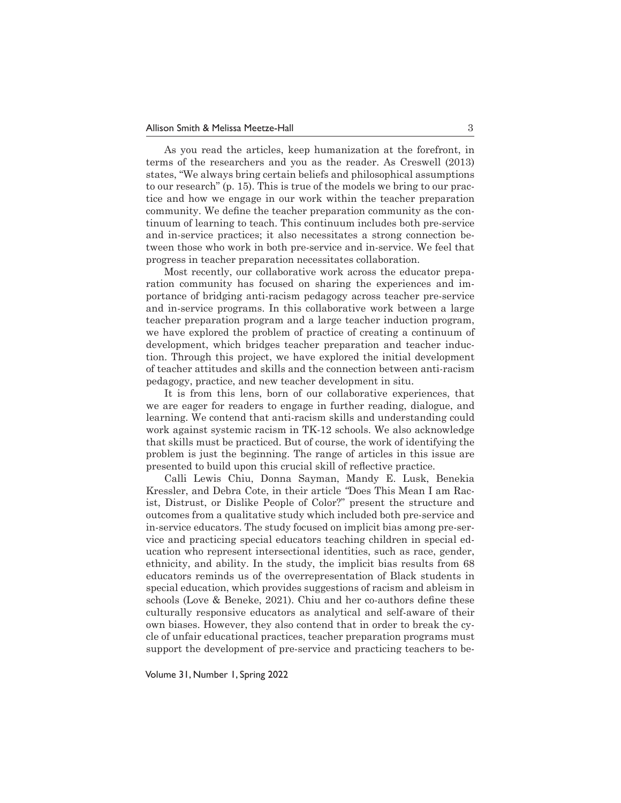As you read the articles, keep humanization at the forefront, in terms of the researchers and you as the reader. As Creswell (2013) states, "We always bring certain beliefs and philosophical assumptions to our research" (p. 15). This is true of the models we bring to our practice and how we engage in our work within the teacher preparation community. We define the teacher preparation community as the continuum of learning to teach. This continuum includes both pre-service and in-service practices; it also necessitates a strong connection between those who work in both pre-service and in-service. We feel that progress in teacher preparation necessitates collaboration.

 Most recently, our collaborative work across the educator preparation community has focused on sharing the experiences and importance of bridging anti-racism pedagogy across teacher pre-service and in-service programs. In this collaborative work between a large teacher preparation program and a large teacher induction program, we have explored the problem of practice of creating a continuum of development, which bridges teacher preparation and teacher induction. Through this project, we have explored the initial development of teacher attitudes and skills and the connection between anti-racism pedagogy, practice, and new teacher development in situ.

 It is from this lens, born of our collaborative experiences, that we are eager for readers to engage in further reading, dialogue, and learning. We contend that anti-racism skills and understanding could work against systemic racism in TK-12 schools. We also acknowledge that skills must be practiced. But of course, the work of identifying the problem is just the beginning. The range of articles in this issue are presented to build upon this crucial skill of reflective practice.

 Calli Lewis Chiu, Donna Sayman, Mandy E. Lusk, Benekia Kressler, and Debra Cote, in their article *"*Does This Mean I am Racist, Distrust, or Dislike People of Color?" present the structure and outcomes from a qualitative study which included both pre-service and in-service educators. The study focused on implicit bias among pre-service and practicing special educators teaching children in special education who represent intersectional identities, such as race, gender, ethnicity, and ability. In the study, the implicit bias results from 68 educators reminds us of the overrepresentation of Black students in special education, which provides suggestions of racism and ableism in schools (Love & Beneke, 2021). Chiu and her co-authors define these culturally responsive educators as analytical and self-aware of their own biases. However, they also contend that in order to break the cycle of unfair educational practices, teacher preparation programs must support the development of pre-service and practicing teachers to be-

Volume 31, Number 1, Spring 2022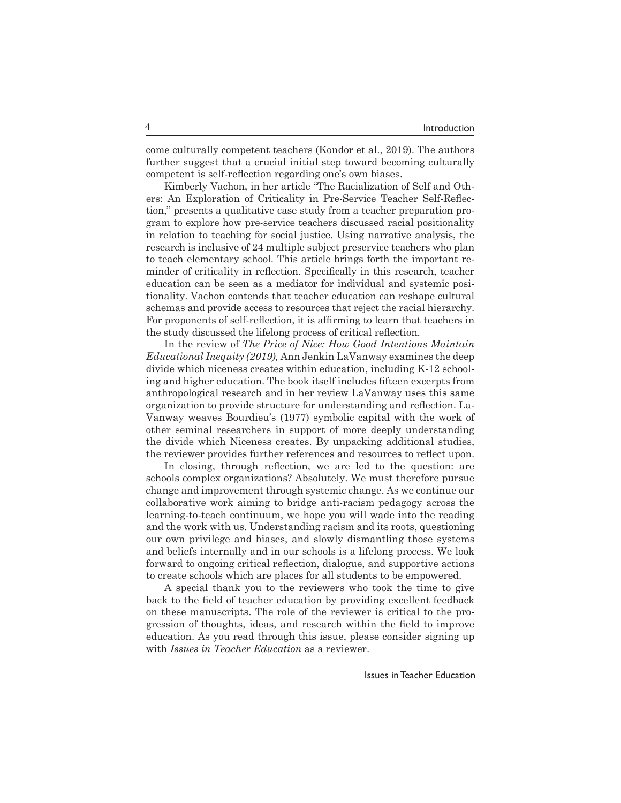come culturally competent teachers (Kondor et al., 2019). The authors further suggest that a crucial initial step toward becoming culturally competent is self-reflection regarding one's own biases.

 Kimberly Vachon, in her article "The Racialization of Self and Others: An Exploration of Criticality in Pre-Service Teacher Self-Reflection," presents a qualitative case study from a teacher preparation program to explore how pre-service teachers discussed racial positionality in relation to teaching for social justice. Using narrative analysis, the research is inclusive of 24 multiple subject preservice teachers who plan to teach elementary school. This article brings forth the important reminder of criticality in reflection. Specifically in this research, teacher education can be seen as a mediator for individual and systemic positionality. Vachon contends that teacher education can reshape cultural schemas and provide access to resources that reject the racial hierarchy. For proponents of self-reflection, it is affirming to learn that teachers in the study discussed the lifelong process of critical reflection.

 In the review of *The Price of Nice: How Good Intentions Maintain Educational Inequity (2019),* Ann Jenkin LaVanway examines the deep divide which niceness creates within education, including K-12 schooling and higher education. The book itself includes fifteen excerpts from anthropological research and in her review LaVanway uses this same organization to provide structure for understanding and reflection. La-Vanway weaves Bourdieu's (1977) symbolic capital with the work of other seminal researchers in support of more deeply understanding the divide which Niceness creates. By unpacking additional studies, the reviewer provides further references and resources to reflect upon.

 In closing, through reflection, we are led to the question: are schools complex organizations? Absolutely. We must therefore pursue change and improvement through systemic change. As we continue our collaborative work aiming to bridge anti-racism pedagogy across the learning-to-teach continuum, we hope you will wade into the reading and the work with us. Understanding racism and its roots, questioning our own privilege and biases, and slowly dismantling those systems and beliefs internally and in our schools is a lifelong process. We look forward to ongoing critical reflection, dialogue, and supportive actions to create schools which are places for all students to be empowered.

 A special thank you to the reviewers who took the time to give back to the field of teacher education by providing excellent feedback on these manuscripts. The role of the reviewer is critical to the progression of thoughts, ideas, and research within the field to improve education. As you read through this issue, please consider signing up with *Issues in Teacher Education* as a reviewer.

Issues in Teacher Education